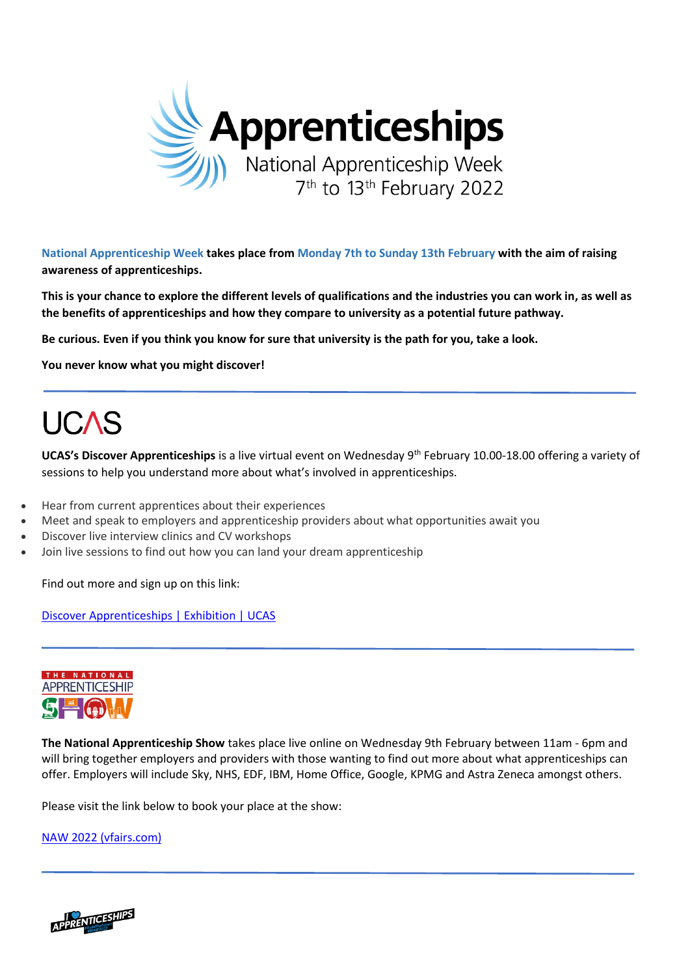

**National Apprenticeship Week takes place from Monday 7th to Sunday 13th February with the aim of raising awareness of apprenticeships.**

**This is your chance to explore the different levels of qualifications and the industries you can work in, as well as the benefits of apprenticeships and how they compare to university as a potential future pathway.**

**Be curious. Even if you think you know for sure that university is the path for you, take a look.** 

**You never know what you might discover!**

# **UCAS**

**UCAS's Discover Apprenticeships** is a live virtual event on Wednesday 9th February 10.00-18.00 offering a variety of sessions to help you understand more about what's involved in apprenticeships.

- Hear from current apprentices about their experiences
- Meet and speak to employers and apprenticeship providers about what opportunities await you
- Discover live interview clinics and CV workshops
- Join live sessions to find out how you can land your dream apprenticeship

Find out more and sign up on this link:

[Discover Apprenticeships | Exhibition | UCAS](https://www.ucas.com/events/discover-apprenticeships-404016)



**The National Apprenticeship Show** takes place live online on Wednesday 9th February between 11am - 6pm and will bring together employers and providers with those wanting to find out more about what apprenticeships can offer. Employers will include Sky, NHS, EDF, IBM, Home Office, Google, KPMG and Astra Zeneca amongst others.

Please visit the link below to book your place at the show:

[NAW 2022 \(vfairs.com\)](https://naw2022.vfairs.com/en/)

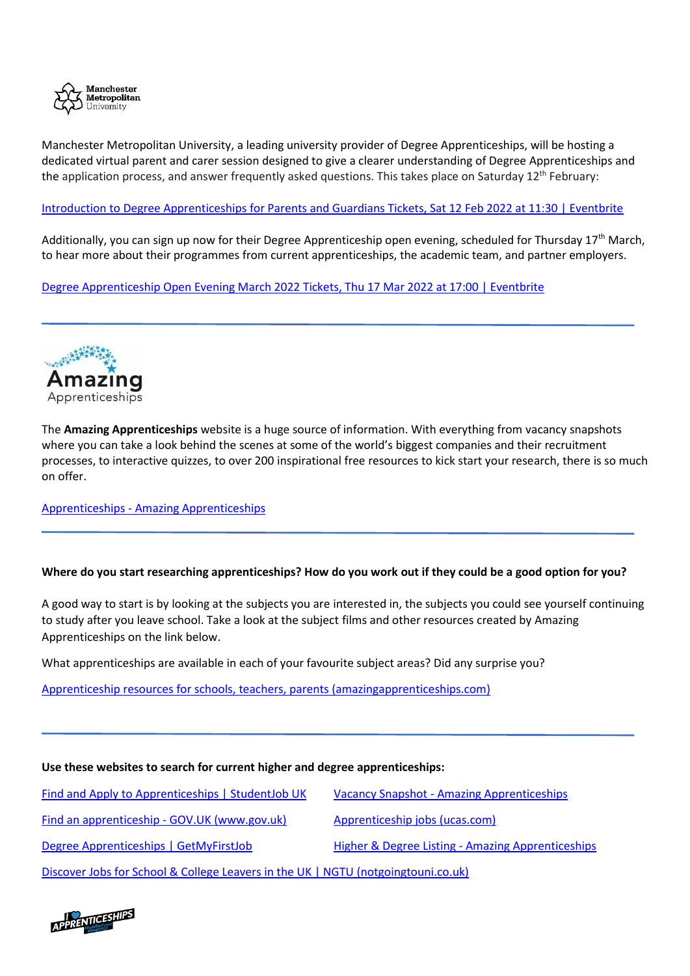

Manchester Metropolitan University, a leading university provider of Degree Apprenticeships, will be hosting a dedicated virtual parent and carer session designed to give a clearer understanding of Degree Apprenticeships and the application process, and answer frequently asked questions. This takes place on Saturday  $12<sup>th</sup>$  February:

# [Introduction to Degree Apprenticeships for Parents and Guardians Tickets, Sat 12 Feb 2022 at 11:30 | Eventbrite](https://www.eventbrite.co.uk/e/introduction-to-degree-apprenticeships-for-parents-and-guardians-tickets-252156515927)

Additionally, you can sign up now for their Degree Apprenticeship open evening, scheduled for Thursday 17<sup>th</sup> March, to hear more about their programmes from current apprenticeships, the academic team, and partner employers.

[Degree Apprenticeship Open Evening March 2022 Tickets, Thu 17 Mar 2022 at 17:00 | Eventbrite](https://www.eventbrite.co.uk/e/degree-apprenticeship-open-evening-march-2022-tickets-207987836217)



The **Amazing Apprenticeships** website is a huge source of information. With everything from vacancy snapshots where you can take a look behind the scenes at some of the world's biggest companies and their recruitment processes, to interactive quizzes, to over 200 inspirational free resources to kick start your research, there is so much on offer.

Apprenticeships - [Amazing Apprenticeships](https://amazingapprenticeships.com/apprenticeships/)

## **Where do you start researching apprenticeships? How do you work out if they could be a good option for you?**

A good way to start is by looking at the subjects you are interested in, the subjects you could see yourself continuing to study after you leave school. Take a look at the subject films and other resources created by Amazing Apprenticeships on the link below.

What apprenticeships are available in each of your favourite subject areas? Did any surprise you?

[Apprenticeship resources for schools, teachers, parents \(amazingapprenticeships.com\)](https://amazingapprenticeships.com/resources/?school-subjects=1)

#### **Use these websites to search for current higher and degree apprenticeships:**

| Find and Apply to Apprenticeships   StudentJob UK                                 | <b>Vacancy Snapshot - Amazing Apprenticeships</b> |
|-----------------------------------------------------------------------------------|---------------------------------------------------|
| Find an apprenticeship - GOV.UK (www.gov.uk)                                      | Apprenticeship jobs (ucas.com)                    |
| Degree Apprenticeships   GetMyFirstJob                                            | Higher & Degree Listing - Amazing Apprenticeships |
| Discover Jobs for School & College Leavers in the UK   NGTU (notgoingtouni.co.uk) |                                                   |